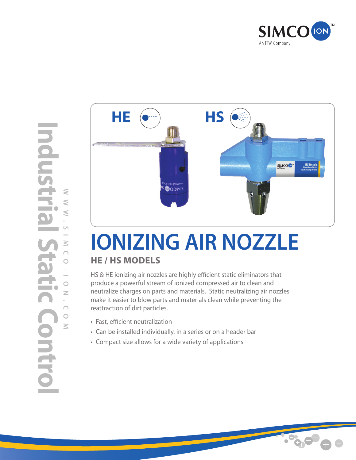



## **IONIZING AIR NOZZLE He / HS Models**

HS & HE ionizing air nozzles are highly efficient static eliminators that produce a powerful stream of ionized compressed air to clean and neutralize charges on parts and materials. Static neutralizing air nozzles make it easier to blow parts and materials clean while preventing the reattraction of dirt particles.

- • Fast, efficient neutralization
- • Can be installed individually, in a series or on a header bar
- • Compact size allows for a wide variety of applications